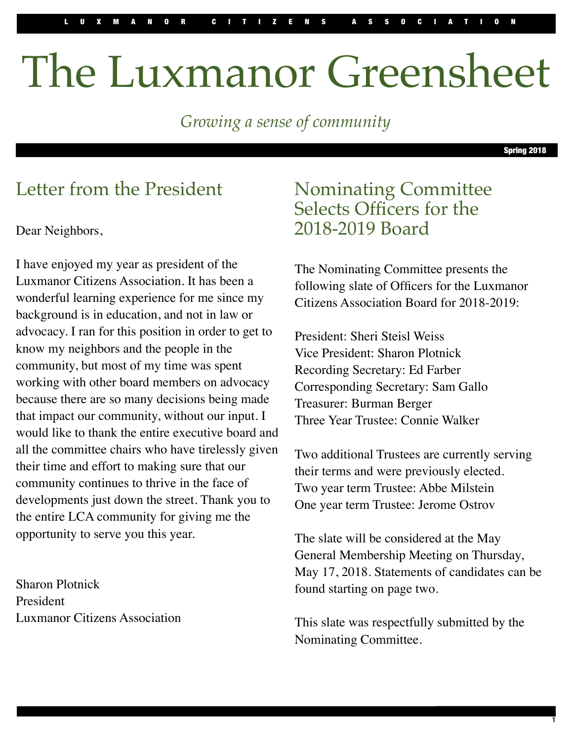# The Luxmanor Greensheet

*Growing a sense of community*

Spring 2018

1

## Letter from the President

Dear Neighbors,

I have enjoyed my year as president of the Luxmanor Citizens Association. It has been a wonderful learning experience for me since my background is in education, and not in law or advocacy. I ran for this position in order to get to know my neighbors and the people in the community, but most of my time was spent working with other board members on advocacy because there are so many decisions being made that impact our community, without our input. I would like to thank the entire executive board and all the committee chairs who have tirelessly given their time and effort to making sure that our community continues to thrive in the face of developments just down the street. Thank you to the entire LCA community for giving me the opportunity to serve you this year.

Sharon Plotnick President Luxmanor Citizens Association

#### Nominating Committee Selects Officers for the 2018-2019 Board

The Nominating Committee presents the following slate of Officers for the Luxmanor Citizens Association Board for 2018-2019:

President: Sheri Steisl Weiss Vice President: Sharon Plotnick Recording Secretary: Ed Farber Corresponding Secretary: Sam Gallo Treasurer: Burman Berger Three Year Trustee: Connie Walker

Two additional Trustees are currently serving their terms and were previously elected. Two year term Trustee: Abbe Milstein One year term Trustee: Jerome Ostrov

The slate will be considered at the May General Membership Meeting on Thursday, May 17, 2018. Statements of candidates can be found starting on page two.

This slate was respectfully submitted by the Nominating Committee.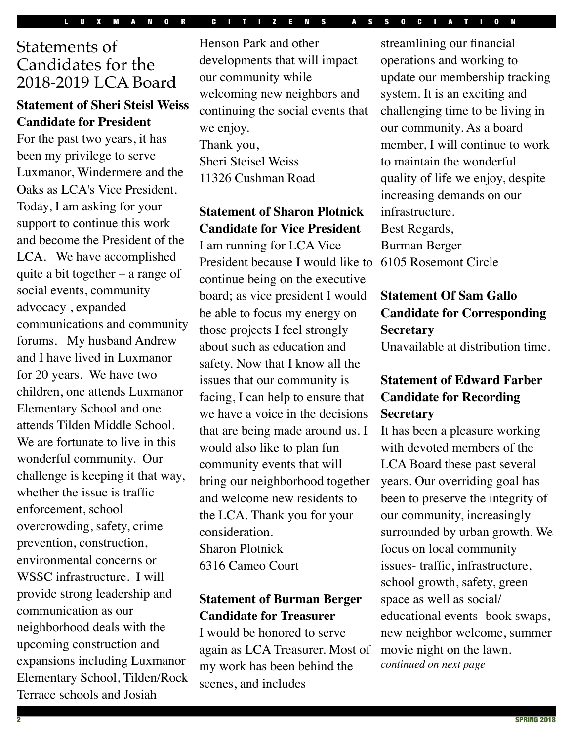#### Statements of Candidates for the 2018-2019 LCA Board

#### **Statement of Sheri Steisl Weiss Candidate for President**

For the past two years, it has been my privilege to serve Luxmanor, Windermere and the Oaks as LCA's Vice President. Today, I am asking for your support to continue this work and become the President of the LCA. We have accomplished quite a bit together – a range of social events, community advocacy , expanded communications and community forums. My husband Andrew and I have lived in Luxmanor for 20 years. We have two children, one attends Luxmanor Elementary School and one attends Tilden Middle School. We are fortunate to live in this wonderful community. Our challenge is keeping it that way, whether the issue is traffic enforcement, school overcrowding, safety, crime prevention, construction, environmental concerns or WSSC infrastructure. I will provide strong leadership and communication as our neighborhood deals with the upcoming construction and expansions including Luxmanor Elementary School, Tilden/Rock Terrace schools and Josiah

Henson Park and other developments that will impact our community while welcoming new neighbors and continuing the social events that we enjoy. Thank you, Sheri Steisel Weiss 11326 Cushman Road

**Statement of Sharon Plotnick Candidate for Vice President**

I am running for LCA Vice President because I would like to continue being on the executive board; as vice president I would be able to focus my energy on those projects I feel strongly about such as education and safety. Now that I know all the issues that our community is facing, I can help to ensure that we have a voice in the decisions that are being made around us. I would also like to plan fun community events that will bring our neighborhood together and welcome new residents to the LCA. Thank you for your consideration. Sharon Plotnick 6316 Cameo Court

#### **Statement of Burman Berger Candidate for Treasurer**

I would be honored to serve again as LCA Treasurer. Most of my work has been behind the scenes, and includes

streamlining our financial operations and working to update our membership tracking system. It is an exciting and challenging time to be living in our community. As a board member, I will continue to work to maintain the wonderful quality of life we enjoy, despite increasing demands on our infrastructure. Best Regards, Burman Berger 6105 Rosemont Circle

#### **Statement Of Sam Gallo Candidate for Corresponding Secretary**

Unavailable at distribution time.

#### **Statement of Edward Farber Candidate for Recording Secretary**

It has been a pleasure working with devoted members of the LCA Board these past several years. Our overriding goal has been to preserve the integrity of our community, increasingly surrounded by urban growth. We focus on local community issues- traffic, infrastructure, school growth, safety, green space as well as social/ educational events- book swaps, new neighbor welcome, summer movie night on the lawn. *continued on next page*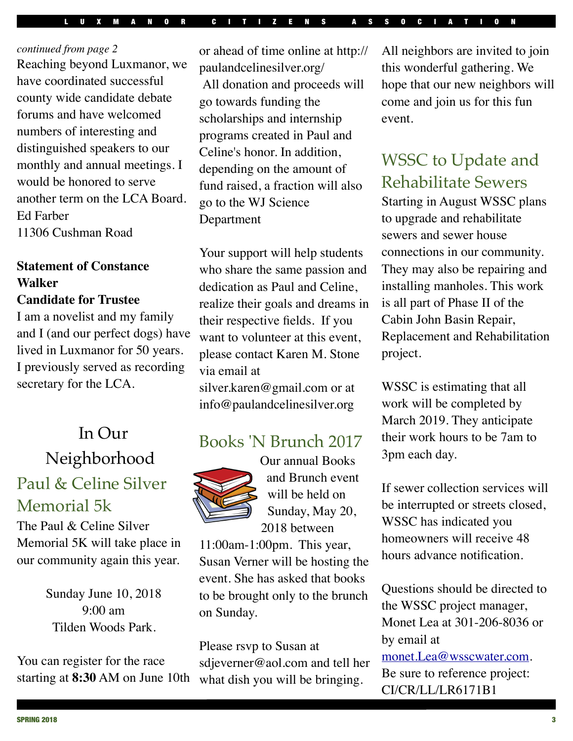*continued from page 2* Reaching beyond Luxmanor, we have coordinated successful county wide candidate debate forums and have welcomed numbers of interesting and distinguished speakers to our monthly and annual meetings. I would be honored to serve another term on the LCA Board. Ed Farber 11306 Cushman Road

## **Statement of Constance Walker**

#### **Candidate for Trustee**

I am a novelist and my family and I (and our perfect dogs) have lived in Luxmanor for 50 years. I previously served as recording secretary for the LCA.

# In Our Neighborhood Paul & Celine Silver Memorial 5k

The Paul & Celine Silver Memorial 5K will take place in our community again this year.

> Sunday June 10, 2018  $9.00 \text{ am}$ Tilden Woods Park.

You can register for the race starting at **8:30** AM on June 10th or ahead of time online at http:// paulandcelinesilver.org/ All donation and proceeds will go towards funding the scholarships and internship programs created in Paul and Celine's honor. In addition, depending on the amount of fund raised, a fraction will also go to the WJ Science Department

Your support will help students who share the same passion and dedication as Paul and Celine, realize their goals and dreams in their respective fields. If you want to volunteer at this event, please contact Karen M. Stone via email at

silver.karen@gmail.com or at info@paulandcelinesilver.org

## Books 'N Brunch 2017



and Brunch event will be held on Sunday, May 20, 2018 between

11:00am-1:00pm. This year, Susan Verner will be hosting the event. She has asked that books to be brought only to the brunch on Sunday.

Please rsvp to Susan at sdjeverner@aol.com and tell her what dish you will be bringing.

All neighbors are invited to join this wonderful gathering. We hope that our new neighbors will come and join us for this fun event.

#### WSSC to Update and Rehabilitate Sewers

Starting in August WSSC plans to upgrade and rehabilitate sewers and sewer house connections in our community. They may also be repairing and installing manholes. This work is all part of Phase II of the Cabin John Basin Repair, Replacement and Rehabilitation project.

WSSC is estimating that all work will be completed by March 2019. They anticipate their work hours to be 7am to 3pm each day.

If sewer collection services will be interrupted or streets closed, WSSC has indicated you homeowners will receive 48 hours advance notification.

Questions should be directed to the WSSC project manager, Monet Lea at 301-206-8036 or by email at [monet.Lea@wsscwater.com.](mailto:monet.Lea@wsscwater.com) Be sure to reference project:

CI/CR/LL/LR6171B1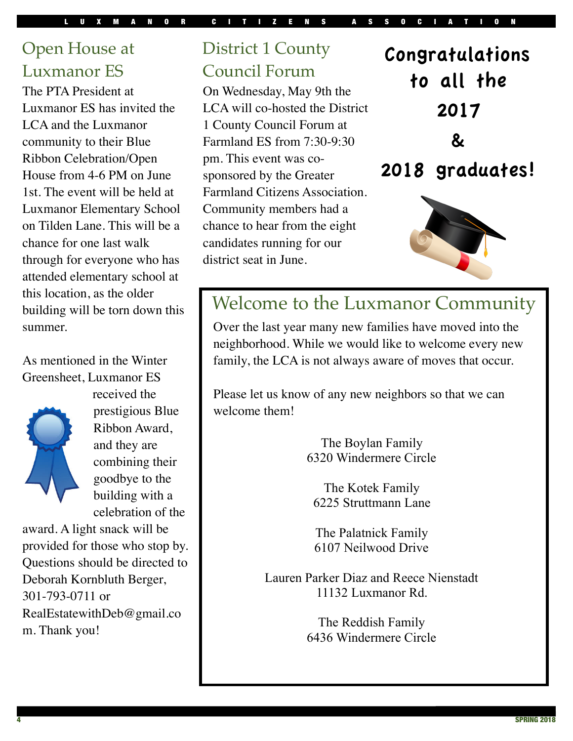## Open House at Luxmanor ES

The PTA President at Luxmanor ES has invited the LCA and the Luxmanor community to their Blue Ribbon Celebration/Open House from 4-6 PM on June 1st. The event will be held at Luxmanor Elementary School on Tilden Lane. This will be a chance for one last walk through for everyone who has attended elementary school at this location, as the older building will be torn down this summer.

#### As mentioned in the Winter Greensheet, Luxmanor ES



received the prestigious Blue Ribbon Award, and they are combining their goodbye to the building with a celebration of the

award. A light snack will be provided for those who stop by. Questions should be directed to Deborah Kornbluth Berger, 301-793-0711 or RealEstatewithDeb@gmail.co m. Thank you!

## District 1 County Council Forum

On Wednesday, May 9th the LCA will co-hosted the District 1 County Council Forum at Farmland ES from 7:30-9:30 pm. This event was cosponsored by the Greater Farmland Citizens Association. Community members had a chance to hear from the eight candidates running for our district seat in June.



# 2018 graduates!



# Welcome to the Luxmanor Community

Over the last year many new families have moved into the neighborhood. While we would like to welcome every new family, the LCA is not always aware of moves that occur.

Please let us know of any new neighbors so that we can welcome them!

> The Boylan Family 6320 Windermere Circle

The Kotek Family 6225 Struttmann Lane

The Palatnick Family 6107 Neilwood Drive

Lauren Parker Diaz and Reece Nienstadt 11132 Luxmanor Rd.

> The Reddish Family 6436 Windermere Circle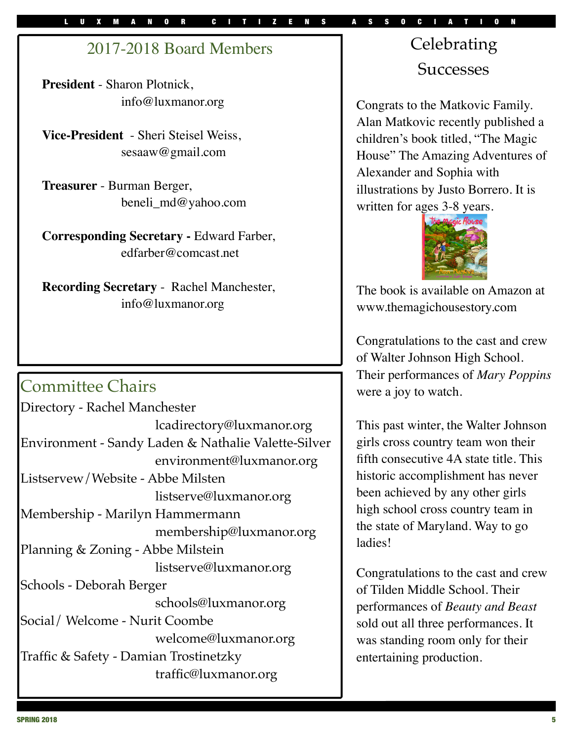#### 2017-2018 Board Members

**President** - Sharon Plotnick, [info@luxmanor.org](mailto:info@luxmanor.org)

**Vice-President** - Sheri Steisel Weiss, sesaaw@gmail.com

**Treasurer** - Burman Berger, [beneli\\_md@yahoo.com](mailto:bgudelsky@comcast.net)

**Corresponding Secretary -** Edward Farber, [edfarber@comcast.net](mailto:edfarber@comcast.net)

**Recording Secretary** - Rachel Manchester, [info@luxmanor.org](mailto:info@luxmanor.org)

## Committee Chairs

| Directory - Rachel Manchester                       |
|-----------------------------------------------------|
| lcadirectory@luxmanor.org                           |
| Environment - Sandy Laden & Nathalie Valette-Silver |
| environment@luxmanor.org                            |
| Listservew/Website - Abbe Milsten                   |
| listserve@luxmanor.org                              |
| Membership - Marilyn Hammermann                     |
| membership@luxmanor.org                             |
| Planning & Zoning - Abbe Milstein                   |
| listserve@luxmanor.org                              |
| Schools - Deborah Berger                            |
| schools@luxmanor.org                                |
| Social/Welcome - Nurit Coombe                       |
| welcome@luxmanor.org                                |
| Traffic & Safety - Damian Trostinetzky              |
| traffic@luxmanor.org                                |
|                                                     |

# Celebrating **Successes**

Congrats to the Matkovic Family. Alan Matkovic recently published a children's book titled, "The Magic House" The Amazing Adventures of Alexander and Sophia with illustrations by Justo Borrero. It is written for ages 3-8 years.



The book is available on Amazon at www.themagichousestory.com

Congratulations to the cast and crew of Walter Johnson High School. Their performances of *Mary Poppins*  were a joy to watch*.*

This past winter, the Walter Johnson girls cross country team won their fifth consecutive 4A state title. This historic accomplishment has never been achieved by any other girls high school cross country team in the state of Maryland. Way to go ladies!

Congratulations to the cast and crew of Tilden Middle School. Their performances of *Beauty and Beast*  sold out all three performances*.* It was standing room only for their entertaining production.